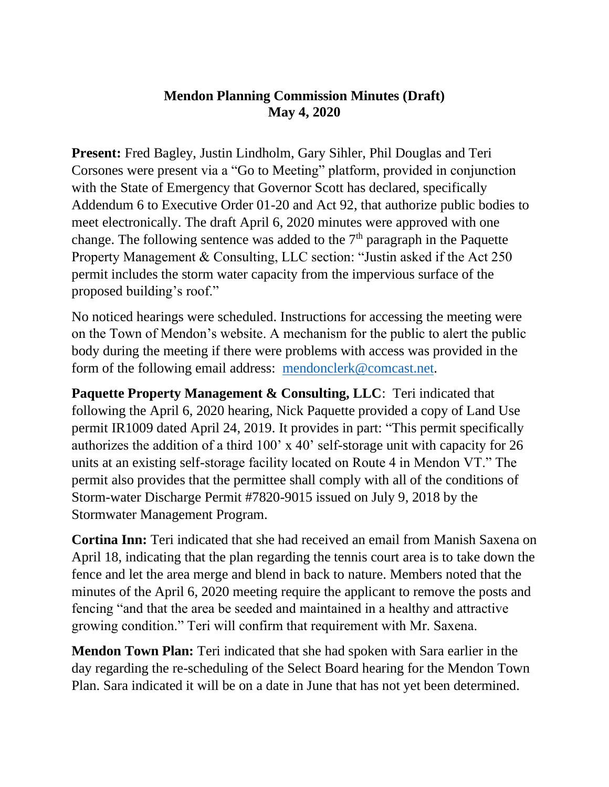## **Mendon Planning Commission Minutes (Draft) May 4, 2020**

**Present:** Fred Bagley, Justin Lindholm, Gary Sihler, Phil Douglas and Teri Corsones were present via a "Go to Meeting" platform, provided in conjunction with the State of Emergency that Governor Scott has declared, specifically Addendum 6 to Executive Order 01-20 and Act 92, that authorize public bodies to meet electronically. The draft April 6, 2020 minutes were approved with one change. The following sentence was added to the  $7<sup>th</sup>$  paragraph in the Paquette Property Management & Consulting, LLC section: "Justin asked if the Act 250 permit includes the storm water capacity from the impervious surface of the proposed building's roof."

No noticed hearings were scheduled. Instructions for accessing the meeting were on the Town of Mendon's website. A mechanism for the public to alert the public body during the meeting if there were problems with access was provided in the form of the following email address: [mendonclerk@comcast.net.](mailto:mendonclerk@comcast.net)

**Paquette Property Management & Consulting, LLC: Teri indicated that** following the April 6, 2020 hearing, Nick Paquette provided a copy of Land Use permit IR1009 dated April 24, 2019. It provides in part: "This permit specifically authorizes the addition of a third 100' x 40' self-storage unit with capacity for 26 units at an existing self-storage facility located on Route 4 in Mendon VT." The permit also provides that the permittee shall comply with all of the conditions of Storm-water Discharge Permit #7820-9015 issued on July 9, 2018 by the Stormwater Management Program.

**Cortina Inn:** Teri indicated that she had received an email from Manish Saxena on April 18, indicating that the plan regarding the tennis court area is to take down the fence and let the area merge and blend in back to nature. Members noted that the minutes of the April 6, 2020 meeting require the applicant to remove the posts and fencing "and that the area be seeded and maintained in a healthy and attractive growing condition." Teri will confirm that requirement with Mr. Saxena.

**Mendon Town Plan:** Teri indicated that she had spoken with Sara earlier in the day regarding the re-scheduling of the Select Board hearing for the Mendon Town Plan. Sara indicated it will be on a date in June that has not yet been determined.